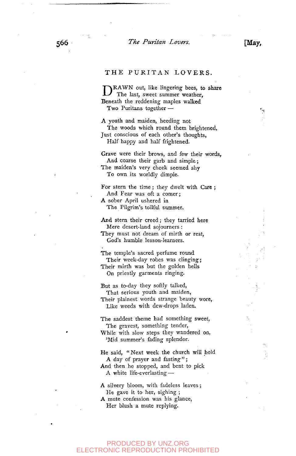*The Puritan Lovers.* [May,

# THE PURITAN LOVERS.

DRAWN out, like lingering bees, to share<br>The last, sweet summer weather, The last, sweet summer weather, Beneath the reddening maples walked Two Puritans together —

A youth and maiden, heeding not The woods which round them brightened, Just conscious of each other's thoughts, Half happy and half frightened.

Grave were their brows, and few their words, And coarse their garb and simple; The maiden's very cheek seemed shy To own its worldly dimple.

For stern the time ; they dwelt with Care ; And Fear was oft a comer; A sober April ushered in The Pilgrim's toilful summer.

And stern their creed; they tarried here Mere desert-land sojourners : They must not dream of mirth or rest, God's humble lesson-learners.

The temple's sacred perfume round Their week-day robes was clinging; Their mirth was but the golden bells On priestly garments ringing.

But as to-day they softly talked, That serious youth and maiden, Their plainest words strange beauty wore, Like weeds with dew-drops laden.

The saddest theme had something sweet, The gravest, something tender,

While with slow steps they wandered on, 'Mid summer's fading splendor.

He said, " Next week the church will hold A day of prayer and fasting"; And then he stopped, and bent to pick A white life-everlasting—•

- A silvery bloom, with fadeless leaves ; He gave it to her, sighing ;
- A mute confession was his glance, Her blush a mute replying.

### PRODUCED BY UNZ.ORG ELECTRONIC REPRODUCTION PROHIBITED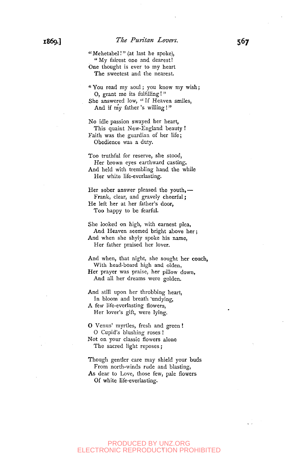" Mehetabel.'" (at last he spoke), "My fairest one and dearest! One thought is ever to my heart The sweetest and the nearest.

" You read my soul; you know my wish; O, grant me its fulfilling! " She answered low, " If Heaven smiles, And if my father's willing !"

No idle passion swayed her heart, This quaint New-England beauty ! Faith was the guardian of her life; Obedience was a duty.

Too truthful for reserve, she stood, Her brown eyes earthward casting, And held with trembling hand the while Her white life-everlasting.

Her sober answer pleased the youth,— Frank, clear, and gravely cheerful; He left her at her father's door, Too happy to be fearful.

She looked on high, with earnest plea, And Heaven seemed bright above her; And when she shyly spoke his name, Her father praised her lover.

And when, that night, she sought her couch, With head-board high and olden, Her prayer was praise, her pillow down, And all her dreams were golden.

And still upon her throbbing heart, In bloom and breath 'undying, A few life-everlasting flowers, Her lover's gift, were lying.

O Venus' myrtles, fresh and green ! O Cupid's blushing roses ! Not on your classic flowers alone The sacred light reposes ;

Though gentler care may shield your buds From north-winds rude and blasting, As dear to Love, those few, pale flowers Of white life-everlasting.

# PRODUCED BY UNZ.ORG ELECTRONIC REPRODUCTION PROHIBITED